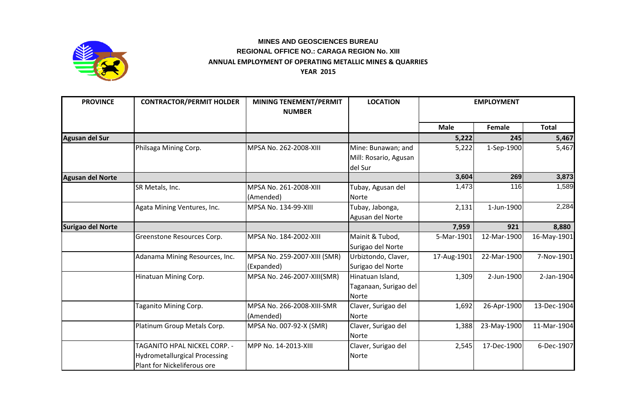

## **ANNUAL EMPLOYMENT OF OPERATING METALLIC MINES & QUARRIES YEAR 2015 MINES AND GEOSCIENCES BUREAU REGIONAL OFFICE NO.: CARAGA REGION No. XIII**

| <b>PROVINCE</b>         | <b>CONTRACTOR/PERMIT HOLDER</b>                                                                     | <b>MINING TENEMENT/PERMIT</b><br><b>NUMBER</b> | <b>LOCATION</b>                                           | <b>EMPLOYMENT</b> |               |              |
|-------------------------|-----------------------------------------------------------------------------------------------------|------------------------------------------------|-----------------------------------------------------------|-------------------|---------------|--------------|
|                         |                                                                                                     |                                                |                                                           | <b>Male</b>       | <b>Female</b> | <b>Total</b> |
| Agusan del Sur          |                                                                                                     |                                                |                                                           | 5,222             | 245           | 5,467        |
|                         | Philsaga Mining Corp.                                                                               | MPSA No. 262-2008-XIII                         | Mine: Bunawan; and<br>Mill: Rosario, Agusan<br>del Sur    | 5,222             | 1-Sep-1900    | 5,467        |
| <b>Agusan del Norte</b> |                                                                                                     |                                                |                                                           | 3,604             | 269           | 3,873        |
|                         | SR Metals, Inc.                                                                                     | MPSA No. 261-2008-XIII<br>(Amended)            | Tubay, Agusan del<br>Norte                                | 1,473             | 116           | 1,589        |
|                         | Agata Mining Ventures, Inc.                                                                         | MPSA No. 134-99-XIII                           | Tubay, Jabonga,<br>Agusan del Norte                       | 2,131             | 1-Jun-1900    | 2,284        |
| Surigao del Norte       |                                                                                                     |                                                |                                                           | 7,959             | 921           | 8,880        |
|                         | Greenstone Resources Corp.                                                                          | MPSA No. 184-2002-XIII                         | Mainit & Tubod,<br>Surigao del Norte                      | 5-Mar-1901        | 12-Mar-1900   | 16-May-1901  |
|                         | Adanama Mining Resources, Inc.                                                                      | MPSA No. 259-2007-XIII (SMR)<br>(Expanded)     | Urbiztondo, Claver,<br>Surigao del Norte                  | 17-Aug-1901       | 22-Mar-1900   | 7-Nov-1901   |
|                         | Hinatuan Mining Corp.                                                                               | MPSA No. 246-2007-XIII(SMR)                    | Hinatuan Island,<br>Taganaan, Surigao del<br><b>Norte</b> | 1,309             | 2-Jun-1900    | 2-Jan-1904   |
|                         | Taganito Mining Corp.                                                                               | MPSA No. 266-2008-XIII-SMR<br>(Amended)        | Claver, Surigao del<br><b>Norte</b>                       | 1,692             | 26-Apr-1900   | 13-Dec-1904  |
|                         | Platinum Group Metals Corp.                                                                         | MPSA No. 007-92-X (SMR)                        | Claver, Surigao del<br>Norte                              | 1,388             | 23-May-1900   | 11-Mar-1904  |
|                         | TAGANITO HPAL NICKEL CORP. -<br><b>Hydrometallurgical Processing</b><br>Plant for Nickeliferous ore | MPP No. 14-2013-XIII                           | Claver, Surigao del<br>Norte                              | 2,545             | 17-Dec-1900   | 6-Dec-1907   |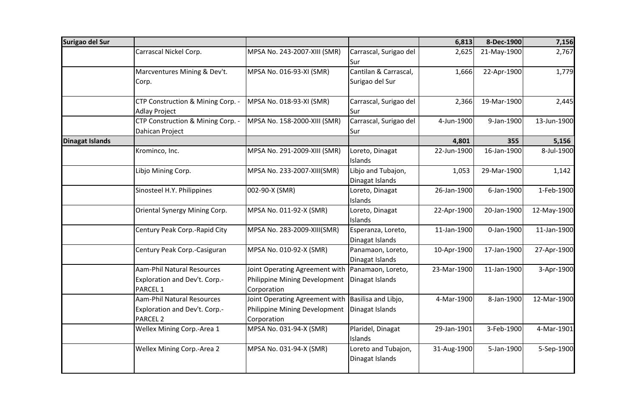| Surigao del Sur |                                                                                       |                                                                                |                                          | 6,813       | 8-Dec-1900  | 7,156       |
|-----------------|---------------------------------------------------------------------------------------|--------------------------------------------------------------------------------|------------------------------------------|-------------|-------------|-------------|
|                 | Carrascal Nickel Corp.                                                                | MPSA No. 243-2007-XIII (SMR)                                                   | Carrascal, Surigao del<br>Sur            | 2,625       | 21-May-1900 | 2,767       |
|                 | Marcventures Mining & Dev't.<br>Corp.                                                 | MPSA No. 016-93-XI (SMR)                                                       | Cantilan & Carrascal,<br>Surigao del Sur | 1,666       | 22-Apr-1900 | 1,779       |
|                 | CTP Construction & Mining Corp. -<br><b>Adlay Project</b>                             | MPSA No. 018-93-XI (SMR)                                                       | Carrascal, Surigao del<br>Sur            | 2,366       | 19-Mar-1900 | 2,445       |
|                 | CTP Construction & Mining Corp. -<br>Dahican Project                                  | MPSA No. 158-2000-XIII (SMR)                                                   | Carrascal, Surigao del<br>Sur            | 4-Jun-1900  | 9-Jan-1900  | 13-Jun-1900 |
| Dinagat Islands |                                                                                       |                                                                                |                                          | 4,801       | 355         | 5,156       |
|                 | Krominco, Inc.                                                                        | MPSA No. 291-2009-XIII (SMR)                                                   | Loreto, Dinagat<br>Islands               | 22-Jun-1900 | 16-Jan-1900 | 8-Jul-1900  |
|                 | Libjo Mining Corp.                                                                    | MPSA No. 233-2007-XIII(SMR)                                                    | Libjo and Tubajon,<br>Dinagat Islands    | 1,053       | 29-Mar-1900 | 1,142       |
|                 | Sinosteel H.Y. Philippines                                                            | 002-90-X (SMR)                                                                 | Loreto, Dinagat<br>Islands               | 26-Jan-1900 | 6-Jan-1900  | 1-Feb-1900  |
|                 | Oriental Synergy Mining Corp.                                                         | MPSA No. 011-92-X (SMR)                                                        | Loreto, Dinagat<br>Islands               | 22-Apr-1900 | 20-Jan-1900 | 12-May-1900 |
|                 | Century Peak Corp.-Rapid City                                                         | MPSA No. 283-2009-XIII(SMR)                                                    | Esperanza, Loreto,<br>Dinagat Islands    | 11-Jan-1900 | 0-Jan-1900  | 11-Jan-1900 |
|                 | Century Peak Corp.-Casiguran                                                          | MPSA No. 010-92-X (SMR)                                                        | Panamaon, Loreto,<br>Dinagat Islands     | 10-Apr-1900 | 17-Jan-1900 | 27-Apr-1900 |
|                 | <b>Aam-Phil Natural Resources</b><br>Exploration and Dev't. Corp.-<br><b>PARCEL 1</b> | Joint Operating Agreement with<br>Philippine Mining Development<br>Corporation | Panamaon, Loreto,<br>Dinagat Islands     | 23-Mar-1900 | 11-Jan-1900 | 3-Apr-1900  |
|                 | Aam-Phil Natural Resources<br>Exploration and Dev't. Corp.-<br>PARCEL <sub>2</sub>    | Joint Operating Agreement with<br>Philippine Mining Development<br>Corporation | Basilisa and Libjo,<br>Dinagat Islands   | 4-Mar-1900  | 8-Jan-1900  | 12-Mar-1900 |
|                 | Wellex Mining Corp.-Area 1                                                            | MPSA No. 031-94-X (SMR)                                                        | Plaridel, Dinagat<br>Islands             | 29-Jan-1901 | 3-Feb-1900  | 4-Mar-1901  |
|                 | Wellex Mining Corp.-Area 2                                                            | MPSA No. 031-94-X (SMR)                                                        | Loreto and Tubajon,<br>Dinagat Islands   | 31-Aug-1900 | 5-Jan-1900  | 5-Sep-1900  |